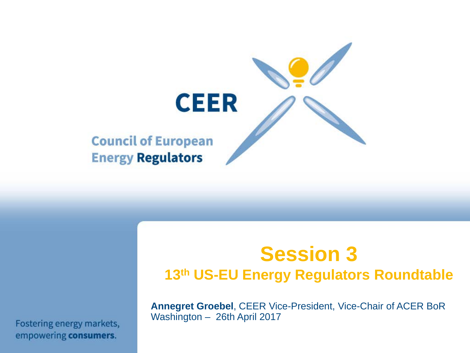

## **Session 3 13th US-EU Energy Regulators Roundtable**

**Annegret Groebel**, CEER Vice-President, Vice-Chair of ACER BoR Washington – 26th April 2017

Fostering energy markets, empowering consumers.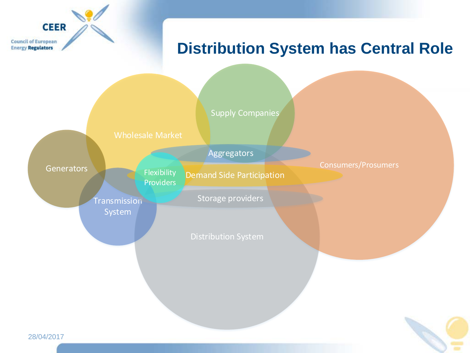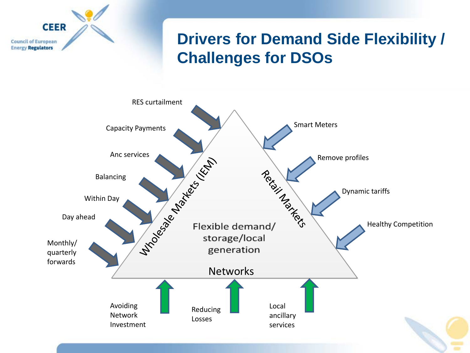

## **Drivers for Demand Side Flexibility / Challenges for DSOs**

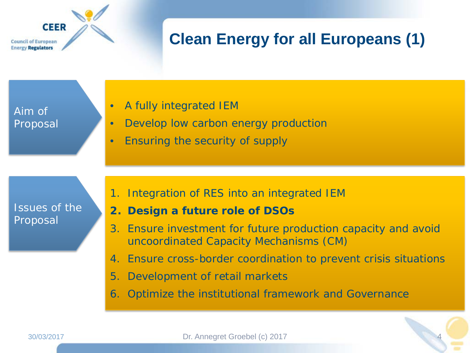**CEER Council of European Energy Regulators** 

## **Clean Energy for all Europeans (1)**

Aim of Proposal

- A fully integrated IEM
- Develop low carbon energy production
- Ensuring the security of supply

Issues of the Proposal

- 1. Integration of RES into an integrated IEM
- **2. Design a future role of DSOs**
- 3. Ensure investment for future production capacity and avoid uncoordinated Capacity Mechanisms (CM)
- 4. Ensure cross-border coordination to prevent crisis situations

4

- 5. Development of retail markets
- 6. Optimize the institutional framework and Governance

30/03/2017 Dr. Annegret Groebel (c) 2017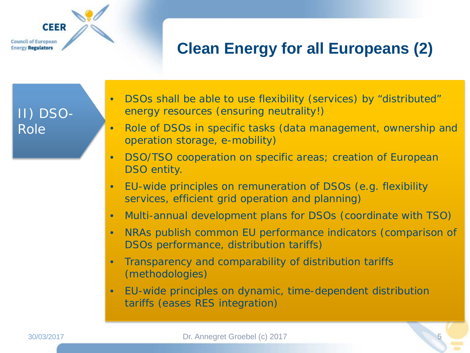**Council of European Energy Regulators** 

**CEER** 

## **Clean Energy for all Europeans (2)**

II) DSO-Role

- DSOs shall be able to use flexibility (services) by "distributed" energy resources (ensuring neutrality!)
- Role of DSOs in specific tasks (data management, ownership and operation storage, e-mobility)
- DSO/TSO cooperation on specific areas; creation of European DSO entity.
- EU-wide principles on remuneration of DSOs (e.g. flexibility services, efficient grid operation and planning)
- Multi-annual development plans for DSOs (coordinate with TSO)
- NRAs publish common EU performance indicators (comparison of DSOs performance, distribution tariffs)
- Transparency and comparability of distribution tariffs (methodologies)
- EU-wide principles on dynamic, time-dependent distribution tariffs (eases RES integration)

5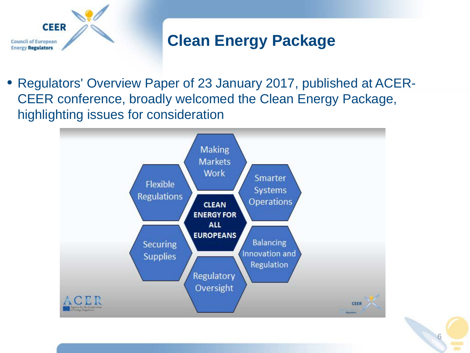

## **Clean Energy Package**

• Regulators' Overview Paper of 23 January 2017, published at ACER-CEER conference, broadly welcomed the Clean Energy Package, highlighting issues for consideration



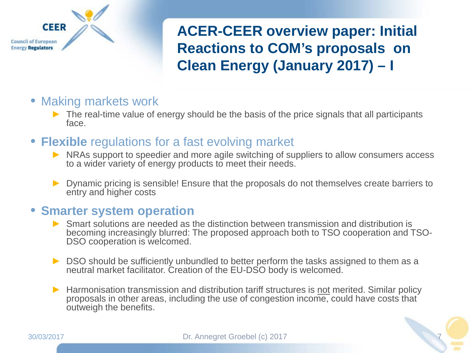

**ACER-CEER overview paper: Initial Reactions to COM's proposals on Clean Energy (January 2017) – I** 

- Making markets work
	- $\blacktriangleright$  The real-time value of energy should be the basis of the price signals that all participants face.
- **Flexible** regulations for a fast evolving market
	- ► NRAs support to speedier and more agile switching of suppliers to allow consumers access to a wider variety of energy products to meet their needs.
	- ► Dynamic pricing is sensible! Ensure that the proposals do not themselves create barriers to entry and higher costs

#### • **Smarter system operation**

- ► Smart solutions are needed as the distinction between transmission and distribution is becoming increasingly blurred: The proposed approach both to TSO cooperation and TSO- DSO cooperation is welcomed.
- ► DSO should be sufficiently unbundled to better perform the tasks assigned to them as a neutral market facilitator. Creation of the EU-DSO body is welcomed.
- ► Harmonisation transmission and distribution tariff structures is not merited. Similar policy proposals in other areas, including the use of congestion income, could have costs that outweigh the benefits.

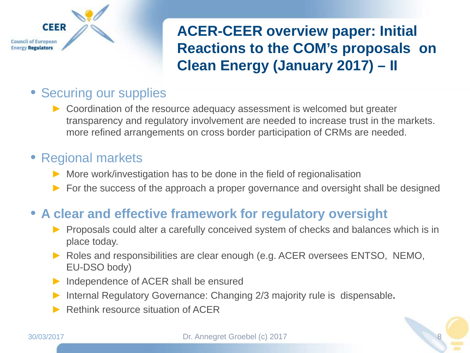

## **ACER-CEER overview paper: Initial Reactions to the COM's proposals on Clean Energy (January 2017) – II**

## • Securing our supplies

► Coordination of the resource adequacy assessment is welcomed but greater transparency and regulatory involvement are needed to increase trust in the markets. more refined arrangements on cross border participation of CRMs are needed.

## • Regional markets

- ► More work/investigation has to be done in the field of regionalisation
- ► For the success of the approach a proper governance and oversight shall be designed

## • **A clear and effective framework for regulatory oversight**

- ► Proposals could alter a carefully conceived system of checks and balances which is in place today.
- ► Roles and responsibilities are clear enough (e.g. ACER oversees ENTSO, NEMO, EU-DSO body)
- ► Independence of ACER shall be ensured
- ► Internal Regulatory Governance: Changing 2/3 majority rule is dispensable**.**
- Rethink resource situation of ACER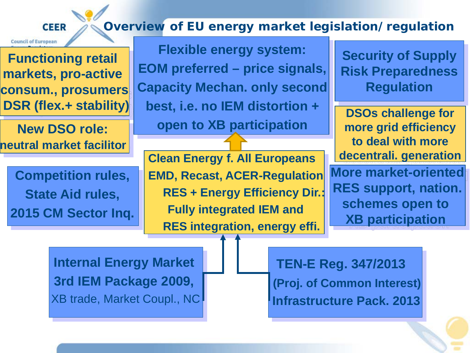#### **Overview of EU energy market legislation/regulation CEER**

**Functioning retail markets, pro-active consum., prosumers DSR (flex.+ stability)** 

**Council of European** 

**New DSO role: neutral market facilitor** 

**Competition rules, State Aid rules, 2015 CM Sector Inq.**

**Flexible energy system: EOM preferred – price signals, Capacity Mechan. only second best, i.e. no IEM distortion + open to XB participation**

**Clean Energy f. All Europeans EMD, Recast, ACER-Regulation RES + Energy Efficiency Dir.: Fully integrated IEM and RES integration, energy effi.**

**Security of Supply Risk Preparedness Regulation**

**DSOs challenge for more grid efficiency to deal with more decentrali. generation**

**More market-oriented RES support, nation. schemes open to XB participation** 

**Internal Energy Market 3rd IEM Package 2009,** XB trade, Market Coupl., NC

**TEN-E Reg. 347/2013 (Proj. of Common Interest) Infrastructure Pack. 2013**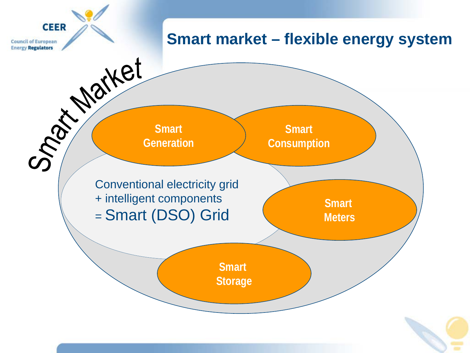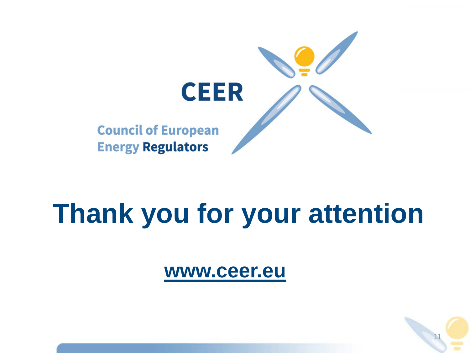

# **Thank you for your attention**

**[www.ceer.eu](http://www.ceer.eu/)**

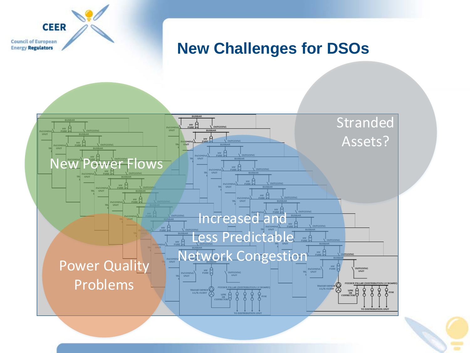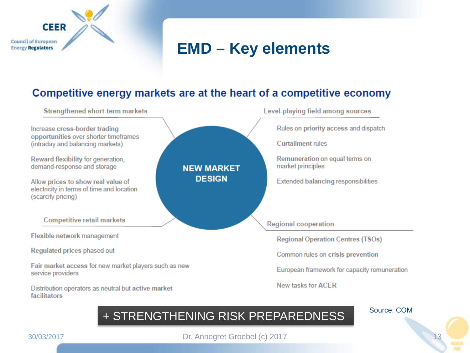

## **EMD – Key elements**

#### Competitive energy markets are at the heart of a competitive economy



#### + STRENGTHENING RISK PREPAREDNESS

Source: COM

13

**CEER** 

**Council of European Energy Regulators** 

30/03/2017 Dr. Annegret Groebel (c) 2017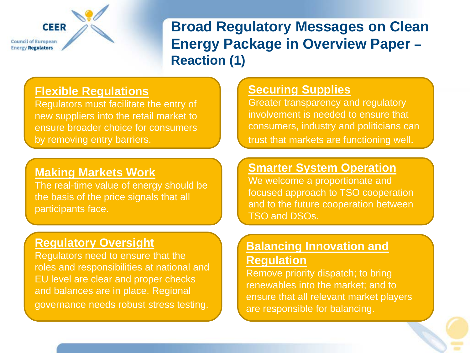**CEER** 

**Council of European Energy Regulators** 

**Broad Regulatory Messages on Clean Energy Package in Overview Paper – Reaction (1)**

#### **Flexible Regulations**

Regulators must facilitate the entry of new suppliers into the retail market to ensure broader choice for consumers by removing entry barriers.

#### **Making Markets Work**

The real-time value of energy should be the basis of the price signals that all participants face.

#### **Regulatory Oversight**

Regulators need to ensure that the roles and responsibilities at national and EU level are clear and proper checks and balances are in place. Regional governance needs robust stress testing.

#### **Securing Supplies**

Greater transparency and regulatory involvement is needed to ensure that consumers, industry and politicians can trust that markets are functioning well.

#### **Smarter System Operation**

We welcome a proportionate and focused approach to TSO cooperation and to the future cooperation between TSO and DSOs.

#### **Balancing Innovation and Regulation**

Remove priority dispatch; to bring renewables into the market; and to ensure that all relevant market players are responsible for balancing.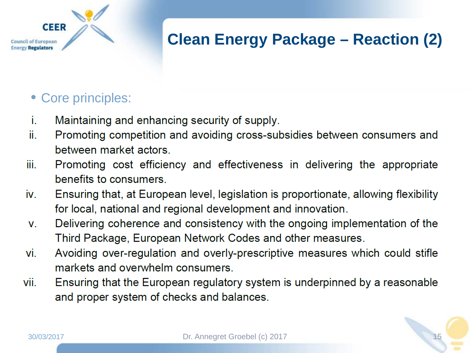## **Clean Energy Package – Reaction (2)**

### • Core principles:

**CEER** 

**Council of European Energy Regulators** 

- i. Maintaining and enhancing security of supply.
- Promoting competition and avoiding cross-subsidies between consumers and ii. between market actors.
- iii. Promoting cost efficiency and effectiveness in delivering the appropriate benefits to consumers
- iv. Ensuring that, at European level, legislation is proportionate, allowing flexibility for local, national and regional development and innovation.
- Delivering coherence and consistency with the ongoing implementation of the  $V_{\odot}$ Third Package, European Network Codes and other measures.
- Avoiding over-regulation and overly-prescriptive measures which could stifle vi. markets and overwhelm consumers.
- vii. Ensuring that the European regulatory system is underpinned by a reasonable and proper system of checks and balances.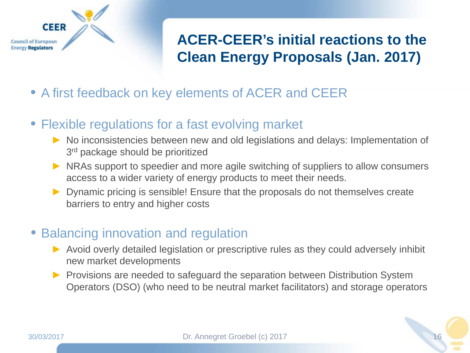

## **ACER-CEER's initial reactions to the Clean Energy Proposals (Jan. 2017)**

- A first feedback on key elements of ACER and CEER
- Flexible regulations for a fast evolving market
	- ► No inconsistencies between new and old legislations and delays: Implementation of 3<sup>rd</sup> package should be prioritized
	- ► NRAs support to speedier and more agile switching of suppliers to allow consumers access to a wider variety of energy products to meet their needs.
	- ► Dynamic pricing is sensible! Ensure that the proposals do not themselves create barriers to entry and higher costs

#### • Balancing innovation and regulation

- ► Avoid overly detailed legislation or prescriptive rules as they could adversely inhibit new market developments
- ► Provisions are needed to safeguard the separation between Distribution System Operators (DSO) (who need to be neutral market facilitators) and storage operators



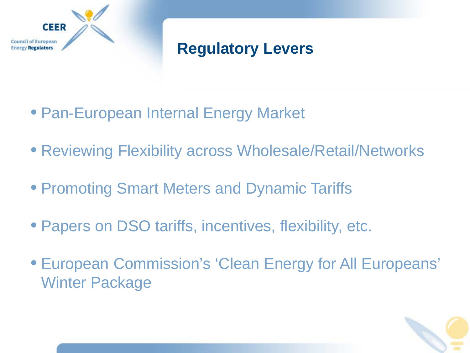

## **Regulatory Levers**

- Pan-European Internal Energy Market
- Reviewing Flexibility across Wholesale/Retail/Networks
- Promoting Smart Meters and Dynamic Tariffs
- Papers on DSO tariffs, incentives, flexibility, etc.
- European Commission's 'Clean Energy for All Europeans' Winter Package

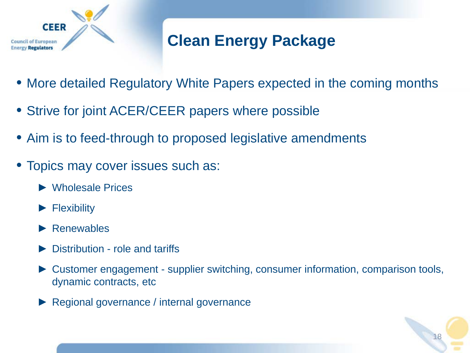

## **Clean Energy Package**

- More detailed Regulatory White Papers expected in the coming months
- Strive for joint ACER/CEER papers where possible
- Aim is to feed-through to proposed legislative amendments
- Topics may cover issues such as:
	- ► Wholesale Prices
	- ► Flexibility
	- ► Renewables
	- Distribution role and tariffs
	- ► Customer engagement supplier switching, consumer information, comparison tools, dynamic contracts, etc

18

Regional governance / internal governance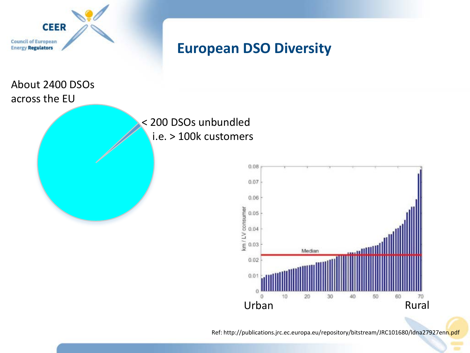

## **European DSO Diversity**

About 2400 DSOs across the EU





Ref: http://publications.jrc.ec.europa.eu/repository/bitstream/JRC101680/ldna27927enn.pdf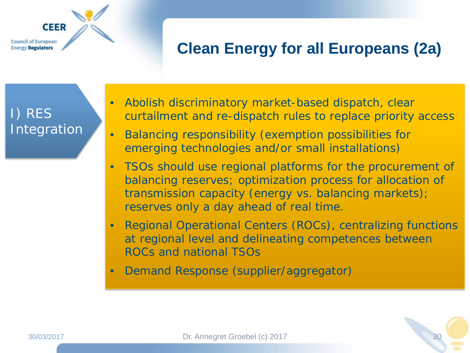**Council of European Energy Regulators** 

**CEER** 

## **Clean Energy for all Europeans (2a)**

I) RES Integration

- Abolish discriminatory market-based dispatch, clear curtailment and re-dispatch rules to replace priority access
- Balancing responsibility (exemption possibilities for emerging technologies and/or small installations)
- TSOs should use regional platforms for the procurement of balancing reserves; optimization process for allocation of transmission capacity (energy vs. balancing markets); reserves only a day ahead of real time.
- Regional Operational Centers (ROCs), centralizing functions at regional level and delineating competences between ROCs and national TSOs
- Demand Response (supplier/aggregator)